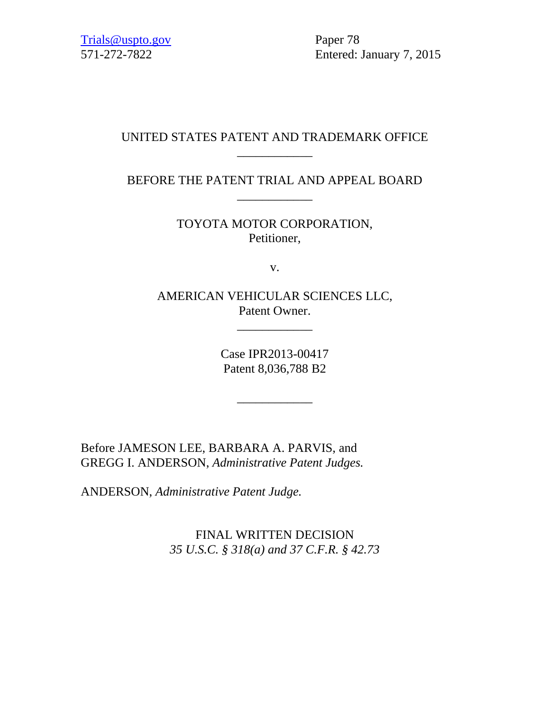571-272-7822 Entered: January 7, 2015

# UNITED STATES PATENT AND TRADEMARK OFFICE \_\_\_\_\_\_\_\_\_\_\_\_

BEFORE THE PATENT TRIAL AND APPEAL BOARD \_\_\_\_\_\_\_\_\_\_\_\_

> TOYOTA MOTOR CORPORATION, Petitioner,

> > v.

AMERICAN VEHICULAR SCIENCES LLC, Patent Owner.

\_\_\_\_\_\_\_\_\_\_\_\_

Case IPR2013-00417 Patent 8,036,788 B2

\_\_\_\_\_\_\_\_\_\_\_\_

Before JAMESON LEE, BARBARA A. PARVIS, and GREGG I. ANDERSON, *Administrative Patent Judges.*

ANDERSON, *Administrative Patent Judge.*

FINAL WRITTEN DECISION *35 U.S.C. § 318(a) and 37 C.F.R. § 42.73*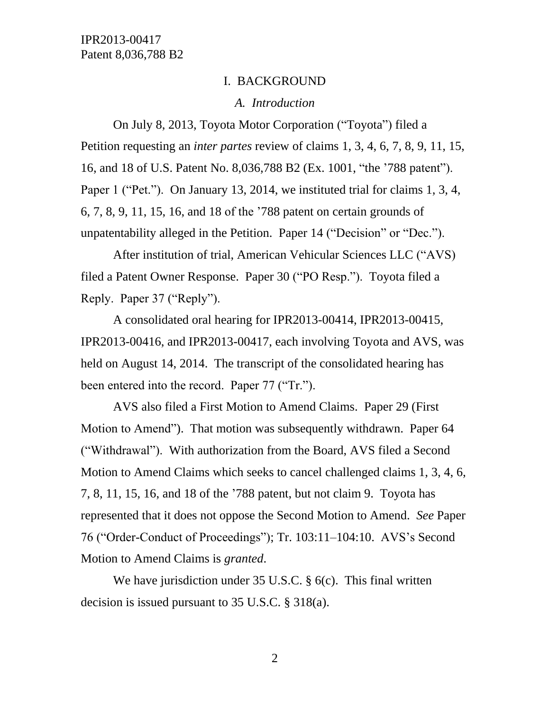#### I. BACKGROUND

#### *A. Introduction*

On July 8, 2013, Toyota Motor Corporation ("Toyota") filed a Petition requesting an *inter partes* review of claims 1, 3, 4, 6, 7, 8, 9, 11, 15, 16, and 18 of U.S. Patent No. 8,036,788 B2 (Ex. 1001, "the '788 patent"). Paper 1 ("Pet."). On January 13, 2014, we instituted trial for claims 1, 3, 4, 6, 7, 8, 9, 11, 15, 16, and 18 of the '788 patent on certain grounds of unpatentability alleged in the Petition. Paper 14 ("Decision" or "Dec.").

After institution of trial, American Vehicular Sciences LLC ("AVS) filed a Patent Owner Response. Paper 30 ("PO Resp."). Toyota filed a Reply. Paper 37 ("Reply").

A consolidated oral hearing for IPR2013-00414, IPR2013-00415, IPR2013-00416, and IPR2013-00417, each involving Toyota and AVS, was held on August 14, 2014. The transcript of the consolidated hearing has been entered into the record. Paper 77 ("Tr.").

AVS also filed a First Motion to Amend Claims. Paper 29 (First Motion to Amend"). That motion was subsequently withdrawn. Paper 64 ("Withdrawal"). With authorization from the Board, AVS filed a Second Motion to Amend Claims which seeks to cancel challenged claims 1, 3, 4, 6, 7, 8, 11, 15, 16, and 18 of the '788 patent, but not claim 9. Toyota has represented that it does not oppose the Second Motion to Amend. *See* Paper 76 ("Order-Conduct of Proceedings"); Tr. 103:11–104:10. AVS's Second Motion to Amend Claims is *granted*.

We have jurisdiction under 35 U.S.C. § 6(c). This final written decision is issued pursuant to 35 U.S.C. § 318(a).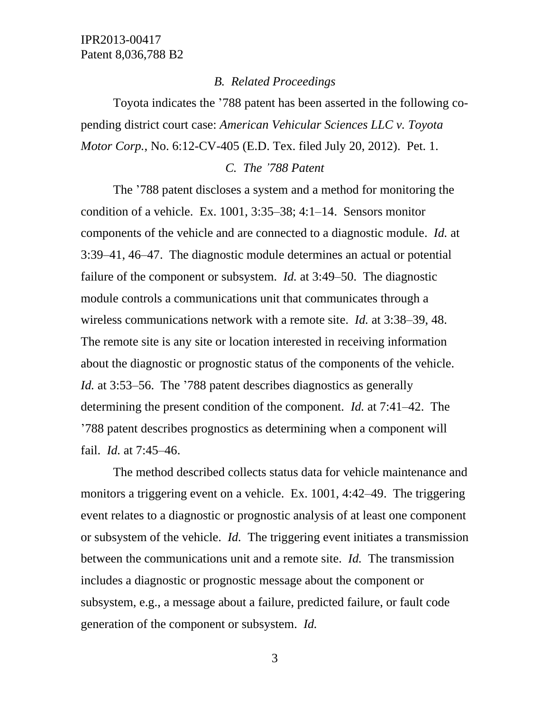#### *B. Related Proceedings*

Toyota indicates the '788 patent has been asserted in the following copending district court case: *American Vehicular Sciences LLC v. Toyota Motor Corp.*, No. 6:12-CV-405 (E.D. Tex. filed July 20, 2012). Pet. 1.

#### *C. The '788 Patent*

The '788 patent discloses a system and a method for monitoring the condition of a vehicle. Ex. 1001, 3:35–38; 4:1–14. Sensors monitor components of the vehicle and are connected to a diagnostic module. *Id.* at 3:39–41, 46–47. The diagnostic module determines an actual or potential failure of the component or subsystem. *Id.* at 3:49–50. The diagnostic module controls a communications unit that communicates through a wireless communications network with a remote site. *Id.* at 3:38–39, 48. The remote site is any site or location interested in receiving information about the diagnostic or prognostic status of the components of the vehicle. *Id.* at 3:53–56. The '788 patent describes diagnostics as generally determining the present condition of the component. *Id.* at 7:41–42. The '788 patent describes prognostics as determining when a component will fail. *Id.* at 7:45–46.

The method described collects status data for vehicle maintenance and monitors a triggering event on a vehicle. Ex. 1001, 4:42–49. The triggering event relates to a diagnostic or prognostic analysis of at least one component or subsystem of the vehicle. *Id.* The triggering event initiates a transmission between the communications unit and a remote site. *Id.* The transmission includes a diagnostic or prognostic message about the component or subsystem, e.g., a message about a failure, predicted failure, or fault code generation of the component or subsystem. *Id.*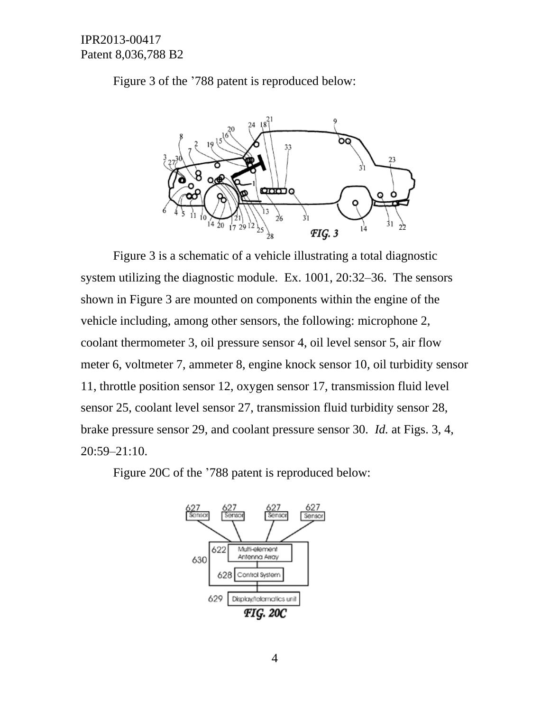Figure 3 of the '788 patent is reproduced below:



Figure 3 is a schematic of a vehicle illustrating a total diagnostic system utilizing the diagnostic module. Ex. 1001, 20:32–36. The sensors shown in Figure 3 are mounted on components within the engine of the vehicle including, among other sensors, the following: microphone 2, coolant thermometer 3, oil pressure sensor 4, oil level sensor 5, air flow meter 6, voltmeter 7, ammeter 8, engine knock sensor 10, oil turbidity sensor 11, throttle position sensor 12, oxygen sensor 17, transmission fluid level sensor 25, coolant level sensor 27, transmission fluid turbidity sensor 28, brake pressure sensor 29, and coolant pressure sensor 30. *Id.* at Figs. 3, 4, 20:59–21:10.

Figure 20C of the '788 patent is reproduced below:

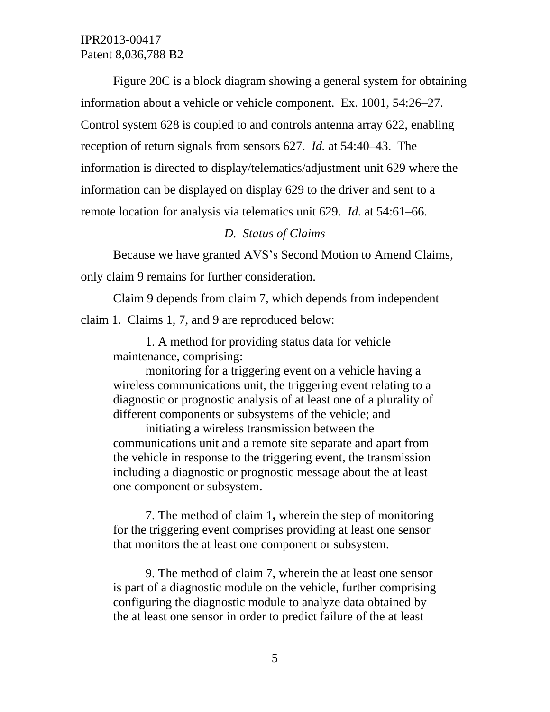Figure 20C is a block diagram showing a general system for obtaining information about a vehicle or vehicle component. Ex. 1001, 54:26–27. Control system 628 is coupled to and controls antenna array 622, enabling reception of return signals from sensors 627. *Id.* at 54:40–43. The information is directed to display/telematics/adjustment unit 629 where the information can be displayed on display 629 to the driver and sent to a remote location for analysis via telematics unit 629. *Id.* at 54:61–66.

#### *D. Status of Claims*

Because we have granted AVS's Second Motion to Amend Claims, only claim 9 remains for further consideration.

Claim 9 depends from claim 7, which depends from independent claim 1. Claims 1, 7, and 9 are reproduced below:

1. A method for providing status data for vehicle maintenance, comprising:

monitoring for a triggering event on a vehicle having a wireless communications unit, the triggering event relating to a diagnostic or prognostic analysis of at least one of a plurality of different components or subsystems of the vehicle; and

initiating a wireless transmission between the communications unit and a remote site separate and apart from the vehicle in response to the triggering event, the transmission including a diagnostic or prognostic message about the at least one component or subsystem.

7. The method of claim 1**,** wherein the step of monitoring for the triggering event comprises providing at least one sensor that monitors the at least one component or subsystem.

9. The method of claim 7, wherein the at least one sensor is part of a diagnostic module on the vehicle, further comprising configuring the diagnostic module to analyze data obtained by the at least one sensor in order to predict failure of the at least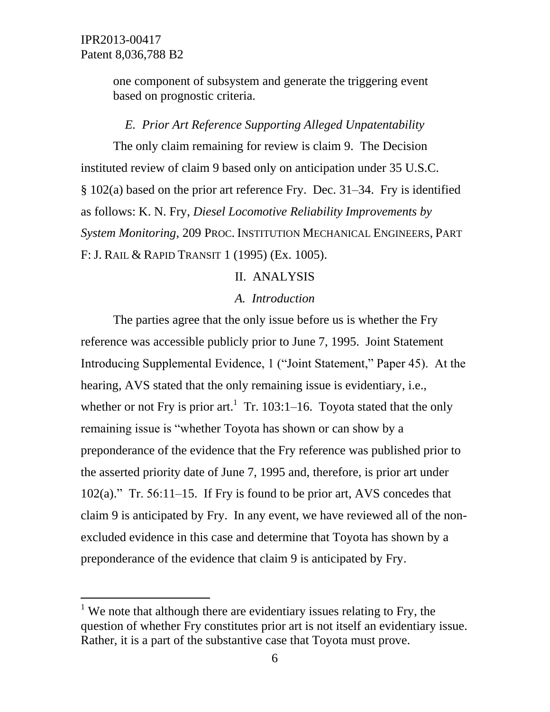l

one component of subsystem and generate the triggering event based on prognostic criteria.

# *E. Prior Art Reference Supporting Alleged Unpatentability*

The only claim remaining for review is claim 9. The Decision instituted review of claim 9 based only on anticipation under 35 U.S.C. § 102(a) based on the prior art reference Fry. Dec. 31–34. Fry is identified as follows: K. N. Fry, *Diesel Locomotive Reliability Improvements by System Monitoring*, 209 PROC. INSTITUTION MECHANICAL ENGINEERS, PART F: J. RAIL & RAPID TRANSIT 1 (1995) (Ex. 1005).

# II. ANALYSIS

### *A. Introduction*

The parties agree that the only issue before us is whether the Fry reference was accessible publicly prior to June 7, 1995. Joint Statement Introducing Supplemental Evidence, 1 ("Joint Statement," Paper 45). At the hearing, AVS stated that the only remaining issue is evidentiary, i.e., whether or not Fry is prior art.<sup>1</sup> Tr. 103:1–16. Toyota stated that the only remaining issue is "whether Toyota has shown or can show by a preponderance of the evidence that the Fry reference was published prior to the asserted priority date of June 7, 1995 and, therefore, is prior art under 102(a)." Tr. 56:11–15. If Fry is found to be prior art, AVS concedes that claim 9 is anticipated by Fry. In any event, we have reviewed all of the nonexcluded evidence in this case and determine that Toyota has shown by a preponderance of the evidence that claim 9 is anticipated by Fry.

<sup>&</sup>lt;sup>1</sup> We note that although there are evidentiary issues relating to Fry, the question of whether Fry constitutes prior art is not itself an evidentiary issue. Rather, it is a part of the substantive case that Toyota must prove.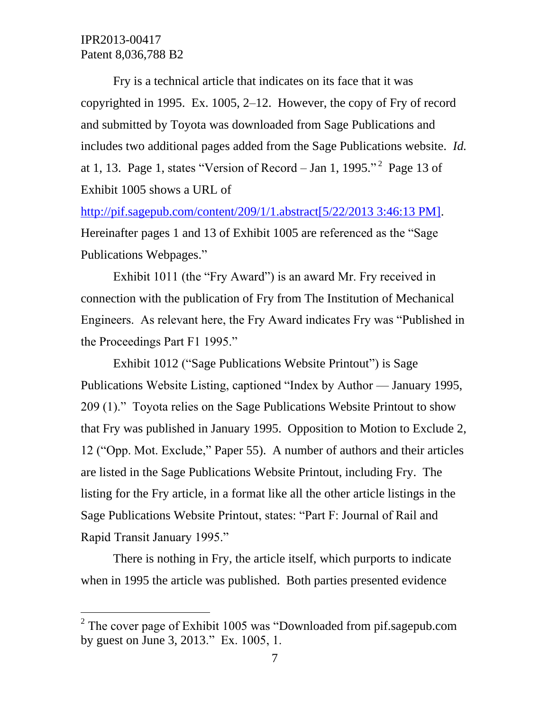$\overline{a}$ 

Fry is a technical article that indicates on its face that it was copyrighted in 1995. Ex. 1005, 2–12. However, the copy of Fry of record and submitted by Toyota was downloaded from Sage Publications and includes two additional pages added from the Sage Publications website. *Id.* at 1, 13. Page 1, states "Version of Record – Jan 1, 1995."<sup>2</sup> Page 13 of Exhibit 1005 shows a URL of

[http://pif.sagepub.com/content/209/1/1.abstract\[5/22/2013 3:46:13 PM\].](http://pif.sagepub.com/content/209/1/1.abstract%5b5/22/2013%203:46:13%20PM%5d) Hereinafter pages 1 and 13 of Exhibit 1005 are referenced as the "Sage Publications Webpages."

Exhibit 1011 (the "Fry Award") is an award Mr. Fry received in connection with the publication of Fry from The Institution of Mechanical Engineers. As relevant here, the Fry Award indicates Fry was "Published in the Proceedings Part F1 1995."

Exhibit 1012 ("Sage Publications Website Printout") is Sage Publications Website Listing, captioned "Index by Author — January 1995, 209 (1)." Toyota relies on the Sage Publications Website Printout to show that Fry was published in January 1995. Opposition to Motion to Exclude 2, 12 ("Opp. Mot. Exclude," Paper 55). A number of authors and their articles are listed in the Sage Publications Website Printout, including Fry. The listing for the Fry article, in a format like all the other article listings in the Sage Publications Website Printout, states: "Part F: Journal of Rail and Rapid Transit January 1995."

There is nothing in Fry, the article itself, which purports to indicate when in 1995 the article was published. Both parties presented evidence

<sup>&</sup>lt;sup>2</sup> The cover page of Exhibit 1005 was "Downloaded from pif.sagepub.com by guest on June 3, 2013." Ex. 1005, 1.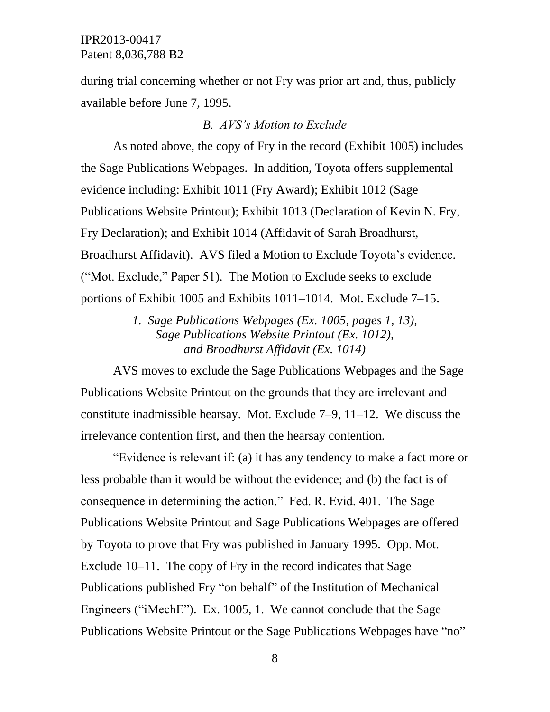during trial concerning whether or not Fry was prior art and, thus, publicly available before June 7, 1995.

#### *B. AVS's Motion to Exclude*

As noted above, the copy of Fry in the record (Exhibit 1005) includes the Sage Publications Webpages. In addition, Toyota offers supplemental evidence including: Exhibit 1011 (Fry Award); Exhibit 1012 (Sage Publications Website Printout); Exhibit 1013 (Declaration of Kevin N. Fry, Fry Declaration); and Exhibit 1014 (Affidavit of Sarah Broadhurst, Broadhurst Affidavit). AVS filed a Motion to Exclude Toyota's evidence. ("Mot. Exclude," Paper 51). The Motion to Exclude seeks to exclude portions of Exhibit 1005 and Exhibits 1011–1014. Mot. Exclude 7–15.

> *1. Sage Publications Webpages (Ex. 1005, pages 1, 13), Sage Publications Website Printout (Ex. 1012), and Broadhurst Affidavit (Ex. 1014)*

AVS moves to exclude the Sage Publications Webpages and the Sage Publications Website Printout on the grounds that they are irrelevant and constitute inadmissible hearsay. Mot. Exclude 7–9, 11–12. We discuss the irrelevance contention first, and then the hearsay contention.

"Evidence is relevant if: (a) it has any tendency to make a fact more or less probable than it would be without the evidence; and (b) the fact is of consequence in determining the action." Fed. R. Evid. 401. The Sage Publications Website Printout and Sage Publications Webpages are offered by Toyota to prove that Fry was published in January 1995. Opp. Mot. Exclude 10–11. The copy of Fry in the record indicates that Sage Publications published Fry "on behalf" of the Institution of Mechanical Engineers ("iMechE"). Ex. 1005, 1. We cannot conclude that the Sage Publications Website Printout or the Sage Publications Webpages have "no"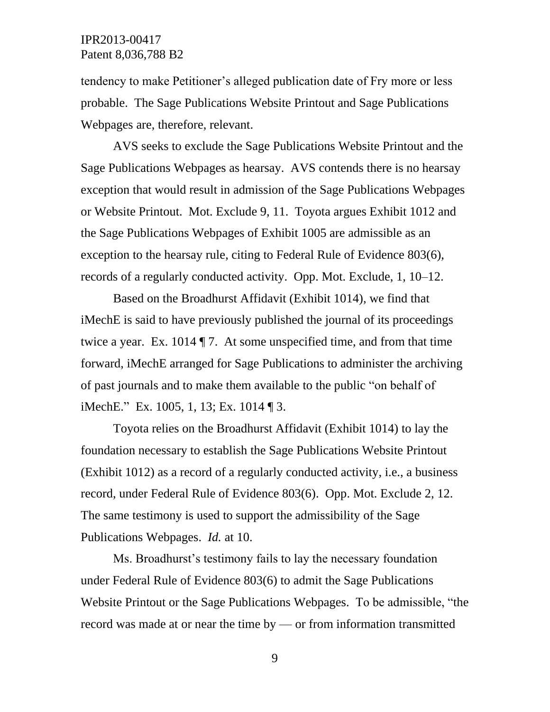tendency to make Petitioner's alleged publication date of Fry more or less probable. The Sage Publications Website Printout and Sage Publications Webpages are, therefore, relevant.

AVS seeks to exclude the Sage Publications Website Printout and the Sage Publications Webpages as hearsay. AVS contends there is no hearsay exception that would result in admission of the Sage Publications Webpages or Website Printout. Mot. Exclude 9, 11. Toyota argues Exhibit 1012 and the Sage Publications Webpages of Exhibit 1005 are admissible as an exception to the hearsay rule, citing to Federal Rule of Evidence 803(6), records of a regularly conducted activity. Opp. Mot. Exclude, 1, 10–12.

Based on the Broadhurst Affidavit (Exhibit 1014), we find that iMechE is said to have previously published the journal of its proceedings twice a year. Ex. 1014 ¶ 7. At some unspecified time, and from that time forward, iMechE arranged for Sage Publications to administer the archiving of past journals and to make them available to the public "on behalf of iMechE." Ex. 1005, 1, 13; Ex. 1014 ¶ 3.

Toyota relies on the Broadhurst Affidavit (Exhibit 1014) to lay the foundation necessary to establish the Sage Publications Website Printout (Exhibit 1012) as a record of a regularly conducted activity, i.e., a business record, under Federal Rule of Evidence 803(6). Opp. Mot. Exclude 2, 12. The same testimony is used to support the admissibility of the Sage Publications Webpages. *Id.* at 10.

Ms. Broadhurst's testimony fails to lay the necessary foundation under Federal Rule of Evidence 803(6) to admit the Sage Publications Website Printout or the Sage Publications Webpages. To be admissible, "the record was made at or near the time by — or from information transmitted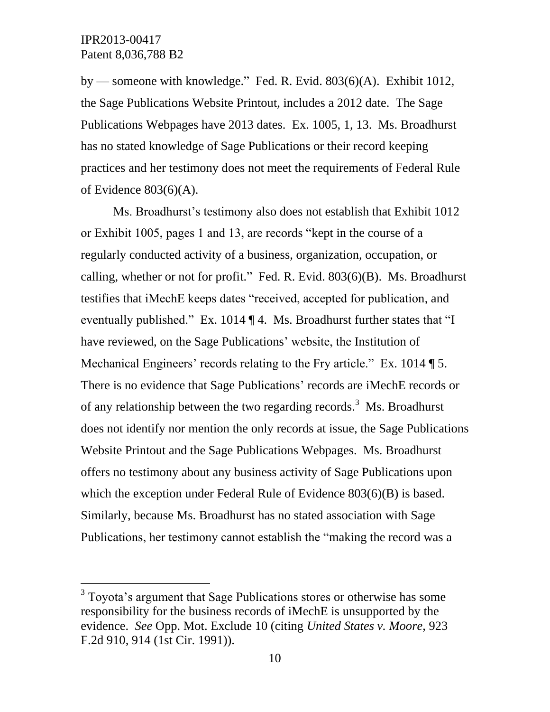l

by — someone with knowledge." Fed. R. Evid. 803(6)(A). Exhibit 1012, the Sage Publications Website Printout, includes a 2012 date. The Sage Publications Webpages have 2013 dates. Ex. 1005, 1, 13. Ms. Broadhurst has no stated knowledge of Sage Publications or their record keeping practices and her testimony does not meet the requirements of Federal Rule of Evidence 803(6)(A).

Ms. Broadhurst's testimony also does not establish that Exhibit 1012 or Exhibit 1005, pages 1 and 13, are records "kept in the course of a regularly conducted activity of a business, organization, occupation, or calling, whether or not for profit." Fed. R. Evid. 803(6)(B). Ms. Broadhurst testifies that iMechE keeps dates "received, accepted for publication, and eventually published." Ex. 1014 ¶ 4. Ms. Broadhurst further states that "I have reviewed, on the Sage Publications' website, the Institution of Mechanical Engineers' records relating to the Fry article." Ex. 1014 [5.] There is no evidence that Sage Publications' records are iMechE records or of any relationship between the two regarding records.<sup>3</sup> Ms. Broadhurst does not identify nor mention the only records at issue, the Sage Publications Website Printout and the Sage Publications Webpages. Ms. Broadhurst offers no testimony about any business activity of Sage Publications upon which the exception under Federal Rule of Evidence 803(6)(B) is based. Similarly, because Ms. Broadhurst has no stated association with Sage Publications, her testimony cannot establish the "making the record was a

<sup>&</sup>lt;sup>3</sup> Toyota's argument that Sage Publications stores or otherwise has some responsibility for the business records of iMechE is unsupported by the evidence. *See* Opp. Mot. Exclude 10 (citing *United States v. Moore*, 923 F.2d 910, 914 (1st Cir. 1991)).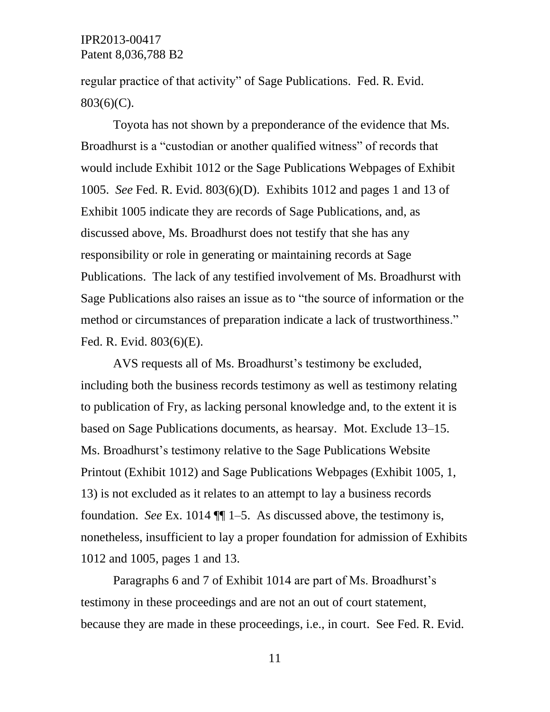regular practice of that activity" of Sage Publications. Fed. R. Evid. 803(6)(C).

Toyota has not shown by a preponderance of the evidence that Ms. Broadhurst is a "custodian or another qualified witness" of records that would include Exhibit 1012 or the Sage Publications Webpages of Exhibit 1005. *See* Fed. R. Evid. 803(6)(D). Exhibits 1012 and pages 1 and 13 of Exhibit 1005 indicate they are records of Sage Publications, and, as discussed above, Ms. Broadhurst does not testify that she has any responsibility or role in generating or maintaining records at Sage Publications. The lack of any testified involvement of Ms. Broadhurst with Sage Publications also raises an issue as to "the source of information or the method or circumstances of preparation indicate a lack of trustworthiness." Fed. R. Evid. 803(6)(E).

AVS requests all of Ms. Broadhurst's testimony be excluded, including both the business records testimony as well as testimony relating to publication of Fry, as lacking personal knowledge and, to the extent it is based on Sage Publications documents, as hearsay. Mot. Exclude 13–15. Ms. Broadhurst's testimony relative to the Sage Publications Website Printout (Exhibit 1012) and Sage Publications Webpages (Exhibit 1005, 1, 13) is not excluded as it relates to an attempt to lay a business records foundation. *See* Ex. 1014 ¶¶ 1–5. As discussed above, the testimony is, nonetheless, insufficient to lay a proper foundation for admission of Exhibits 1012 and 1005, pages 1 and 13.

Paragraphs 6 and 7 of Exhibit 1014 are part of Ms. Broadhurst's testimony in these proceedings and are not an out of court statement, because they are made in these proceedings, i.e., in court. See Fed. R. Evid.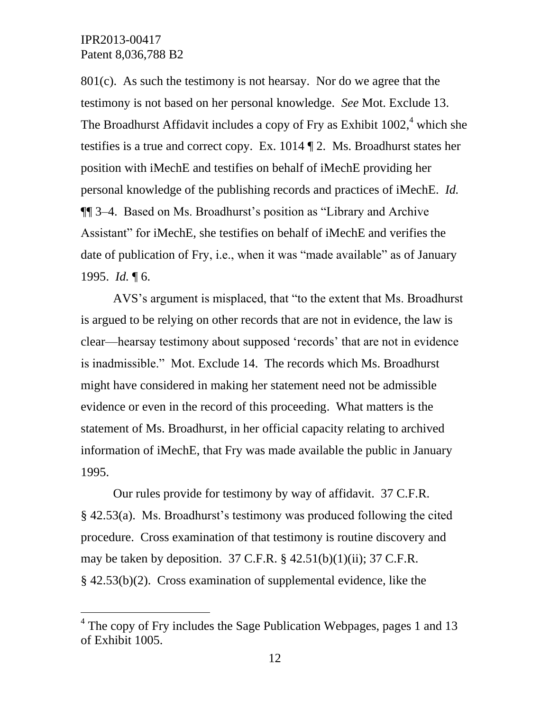$\overline{a}$ 

801(c). As such the testimony is not hearsay. Nor do we agree that the testimony is not based on her personal knowledge. *See* Mot. Exclude 13. The Broadhurst Affidavit includes a copy of Fry as Exhibit 1002,<sup>4</sup> which she testifies is a true and correct copy. Ex. 1014 ¶ 2. Ms. Broadhurst states her position with iMechE and testifies on behalf of iMechE providing her personal knowledge of the publishing records and practices of iMechE. *Id.* ¶¶ 3–4. Based on Ms. Broadhurst's position as "Library and Archive Assistant" for iMechE, she testifies on behalf of iMechE and verifies the date of publication of Fry, i.e., when it was "made available" as of January 1995. *Id.* ¶ 6.

AVS's argument is misplaced, that "to the extent that Ms. Broadhurst is argued to be relying on other records that are not in evidence, the law is clear—hearsay testimony about supposed 'records' that are not in evidence is inadmissible." Mot. Exclude 14. The records which Ms. Broadhurst might have considered in making her statement need not be admissible evidence or even in the record of this proceeding. What matters is the statement of Ms. Broadhurst, in her official capacity relating to archived information of iMechE, that Fry was made available the public in January 1995.

Our rules provide for testimony by way of affidavit. 37 C.F.R. § 42.53(a). Ms. Broadhurst's testimony was produced following the cited procedure. Cross examination of that testimony is routine discovery and may be taken by deposition.  $37 \text{ C.F.R.}$  §  $42.51(b)(1)(ii)$ ;  $37 \text{ C.F.R.}$ § 42.53(b)(2). Cross examination of supplemental evidence, like the

<sup>&</sup>lt;sup>4</sup> The copy of Fry includes the Sage Publication Webpages, pages 1 and 13 of Exhibit 1005.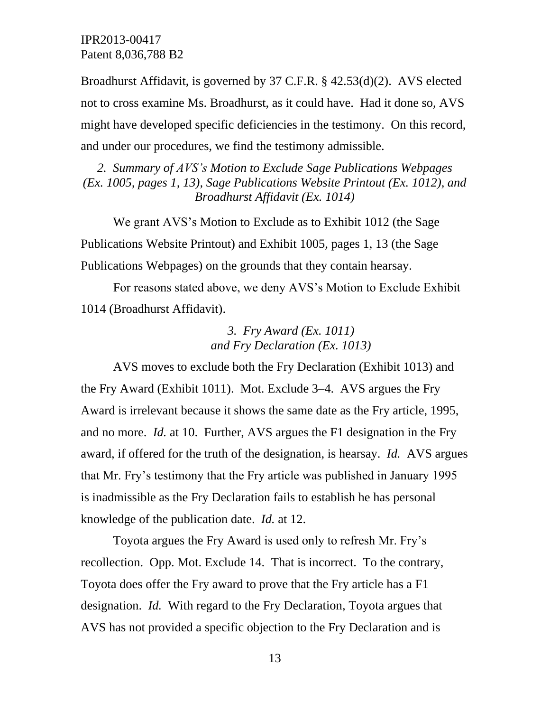Broadhurst Affidavit, is governed by 37 C.F.R. § 42.53(d)(2). AVS elected not to cross examine Ms. Broadhurst, as it could have. Had it done so, AVS might have developed specific deficiencies in the testimony. On this record, and under our procedures, we find the testimony admissible.

*2. Summary of AVS's Motion to Exclude Sage Publications Webpages (Ex. 1005, pages 1, 13), Sage Publications Website Printout (Ex. 1012), and Broadhurst Affidavit (Ex. 1014)*

We grant AVS's Motion to Exclude as to Exhibit 1012 (the Sage Publications Website Printout) and Exhibit 1005, pages 1, 13 (the Sage Publications Webpages) on the grounds that they contain hearsay.

For reasons stated above, we deny AVS's Motion to Exclude Exhibit 1014 (Broadhurst Affidavit).

> *3. Fry Award (Ex. 1011) and Fry Declaration (Ex. 1013)*

AVS moves to exclude both the Fry Declaration (Exhibit 1013) and the Fry Award (Exhibit 1011). Mot. Exclude 3–4. AVS argues the Fry Award is irrelevant because it shows the same date as the Fry article, 1995, and no more. *Id.* at 10. Further, AVS argues the F1 designation in the Fry award, if offered for the truth of the designation, is hearsay. *Id.* AVS argues that Mr. Fry's testimony that the Fry article was published in January 1995 is inadmissible as the Fry Declaration fails to establish he has personal knowledge of the publication date. *Id.* at 12.

Toyota argues the Fry Award is used only to refresh Mr. Fry's recollection. Opp. Mot. Exclude 14. That is incorrect. To the contrary, Toyota does offer the Fry award to prove that the Fry article has a F1 designation. *Id.* With regard to the Fry Declaration, Toyota argues that AVS has not provided a specific objection to the Fry Declaration and is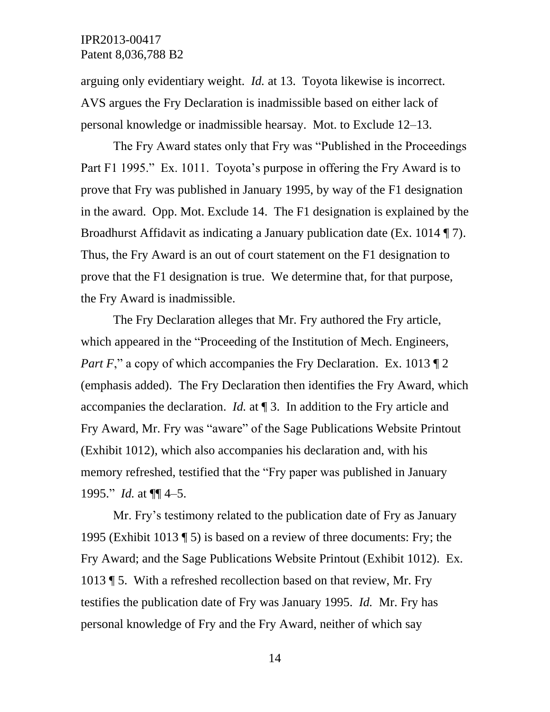arguing only evidentiary weight. *Id.* at 13. Toyota likewise is incorrect. AVS argues the Fry Declaration is inadmissible based on either lack of personal knowledge or inadmissible hearsay. Mot. to Exclude 12–13.

The Fry Award states only that Fry was "Published in the Proceedings Part F1 1995." Ex. 1011. Toyota's purpose in offering the Fry Award is to prove that Fry was published in January 1995, by way of the F1 designation in the award. Opp. Mot. Exclude 14. The F1 designation is explained by the Broadhurst Affidavit as indicating a January publication date (Ex. 1014 ¶ 7). Thus, the Fry Award is an out of court statement on the F1 designation to prove that the F1 designation is true. We determine that, for that purpose, the Fry Award is inadmissible.

The Fry Declaration alleges that Mr. Fry authored the Fry article, which appeared in the "Proceeding of the Institution of Mech. Engineers, *Part F*," a copy of which accompanies the Fry Declaration. Ex. 1013  $\P$  2 (emphasis added). The Fry Declaration then identifies the Fry Award, which accompanies the declaration. *Id.* at ¶ 3. In addition to the Fry article and Fry Award, Mr. Fry was "aware" of the Sage Publications Website Printout (Exhibit 1012), which also accompanies his declaration and, with his memory refreshed, testified that the "Fry paper was published in January 1995." *Id.* at ¶¶ 4–5.

Mr. Fry's testimony related to the publication date of Fry as January 1995 (Exhibit 1013 ¶ 5) is based on a review of three documents: Fry; the Fry Award; and the Sage Publications Website Printout (Exhibit 1012). Ex. 1013 ¶ 5. With a refreshed recollection based on that review, Mr. Fry testifies the publication date of Fry was January 1995. *Id.* Mr. Fry has personal knowledge of Fry and the Fry Award, neither of which say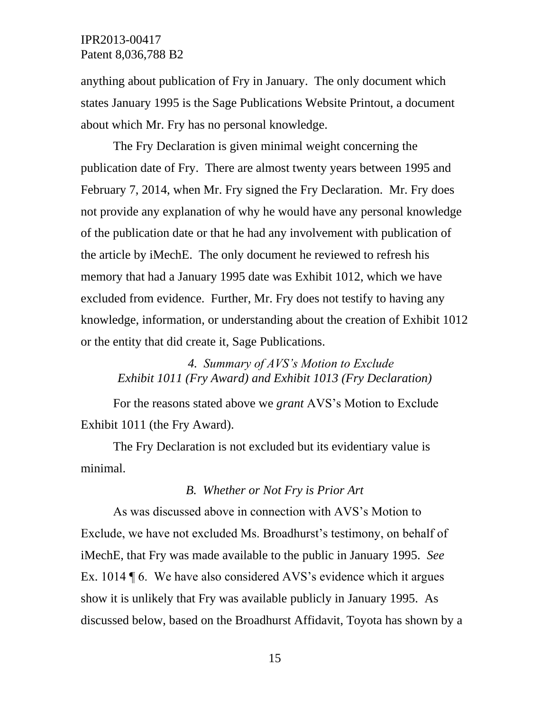anything about publication of Fry in January. The only document which states January 1995 is the Sage Publications Website Printout, a document about which Mr. Fry has no personal knowledge.

The Fry Declaration is given minimal weight concerning the publication date of Fry. There are almost twenty years between 1995 and February 7, 2014, when Mr. Fry signed the Fry Declaration. Mr. Fry does not provide any explanation of why he would have any personal knowledge of the publication date or that he had any involvement with publication of the article by iMechE. The only document he reviewed to refresh his memory that had a January 1995 date was Exhibit 1012, which we have excluded from evidence. Further, Mr. Fry does not testify to having any knowledge, information, or understanding about the creation of Exhibit 1012 or the entity that did create it, Sage Publications.

# *4. Summary of AVS's Motion to Exclude Exhibit 1011 (Fry Award) and Exhibit 1013 (Fry Declaration)*

For the reasons stated above we *grant* AVS's Motion to Exclude Exhibit 1011 (the Fry Award).

The Fry Declaration is not excluded but its evidentiary value is minimal.

#### *B. Whether or Not Fry is Prior Art*

As was discussed above in connection with AVS's Motion to Exclude, we have not excluded Ms. Broadhurst's testimony, on behalf of iMechE, that Fry was made available to the public in January 1995. *See* Ex. 1014 ¶ 6. We have also considered AVS's evidence which it argues show it is unlikely that Fry was available publicly in January 1995. As discussed below, based on the Broadhurst Affidavit, Toyota has shown by a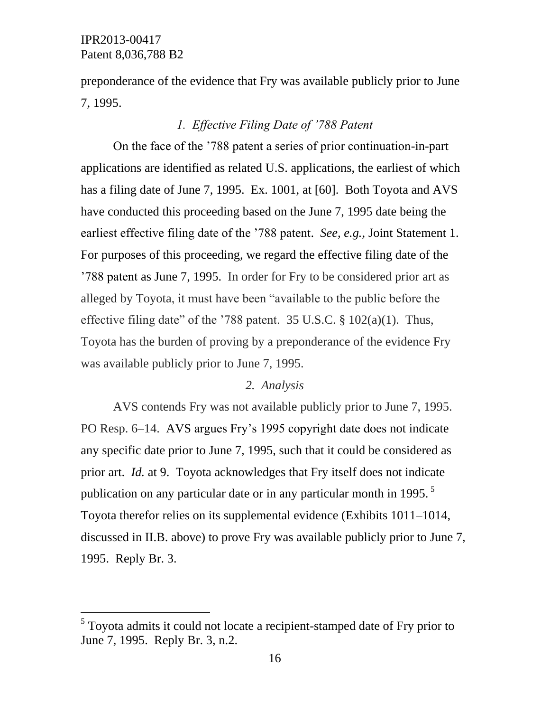$\overline{a}$ 

preponderance of the evidence that Fry was available publicly prior to June 7, 1995.

### *1. Effective Filing Date of '788 Patent*

On the face of the '788 patent a series of prior continuation-in-part applications are identified as related U.S. applications, the earliest of which has a filing date of June 7, 1995. Ex. 1001, at [60]. Both Toyota and AVS have conducted this proceeding based on the June 7, 1995 date being the earliest effective filing date of the '788 patent. *See, e.g.,* Joint Statement 1. For purposes of this proceeding, we regard the effective filing date of the '788 patent as June 7, 1995. In order for Fry to be considered prior art as alleged by Toyota, it must have been "available to the public before the effective filing date" of the '788 patent. 35 U.S.C. § 102(a)(1). Thus, Toyota has the burden of proving by a preponderance of the evidence Fry was available publicly prior to June 7, 1995.

### *2. Analysis*

AVS contends Fry was not available publicly prior to June 7, 1995. PO Resp. 6–14. AVS argues Fry's 1995 copyright date does not indicate any specific date prior to June 7, 1995, such that it could be considered as prior art. *Id.* at 9. Toyota acknowledges that Fry itself does not indicate publication on any particular date or in any particular month in 1995.<sup>5</sup> Toyota therefor relies on its supplemental evidence (Exhibits 1011–1014, discussed in II.B. above) to prove Fry was available publicly prior to June 7, 1995. Reply Br. 3.

 $<sup>5</sup>$  Toyota admits it could not locate a recipient-stamped date of Fry prior to</sup> June 7, 1995. Reply Br. 3, n.2.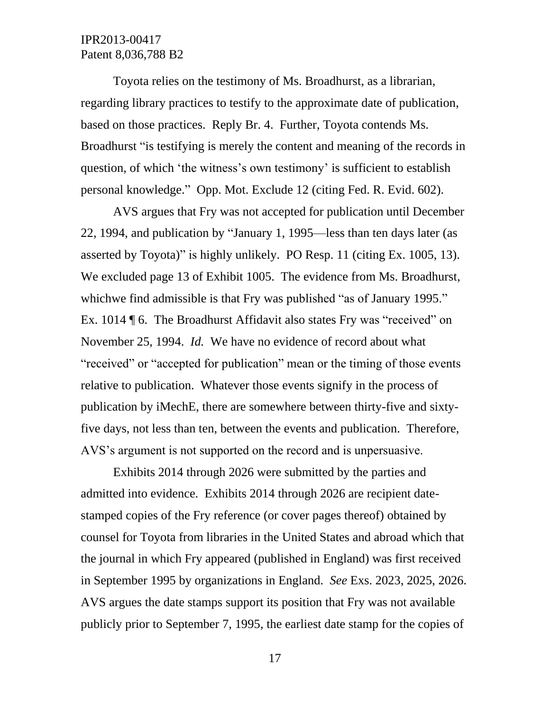Toyota relies on the testimony of Ms. Broadhurst, as a librarian, regarding library practices to testify to the approximate date of publication, based on those practices. Reply Br. 4. Further, Toyota contends Ms. Broadhurst "is testifying is merely the content and meaning of the records in question, of which 'the witness's own testimony' is sufficient to establish personal knowledge." Opp. Mot. Exclude 12 (citing Fed. R. Evid. 602).

AVS argues that Fry was not accepted for publication until December 22, 1994, and publication by "January 1, 1995—less than ten days later (as asserted by Toyota)" is highly unlikely. PO Resp. 11 (citing Ex. 1005, 13). We excluded page 13 of Exhibit 1005. The evidence from Ms. Broadhurst, whichwe find admissible is that Fry was published "as of January 1995." Ex. 1014 ¶ 6. The Broadhurst Affidavit also states Fry was "received" on November 25, 1994. *Id.* We have no evidence of record about what "received" or "accepted for publication" mean or the timing of those events relative to publication. Whatever those events signify in the process of publication by iMechE, there are somewhere between thirty-five and sixtyfive days, not less than ten, between the events and publication. Therefore, AVS's argument is not supported on the record and is unpersuasive.

Exhibits 2014 through 2026 were submitted by the parties and admitted into evidence. Exhibits 2014 through 2026 are recipient datestamped copies of the Fry reference (or cover pages thereof) obtained by counsel for Toyota from libraries in the United States and abroad which that the journal in which Fry appeared (published in England) was first received in September 1995 by organizations in England. *See* Exs. 2023, 2025, 2026. AVS argues the date stamps support its position that Fry was not available publicly prior to September 7, 1995, the earliest date stamp for the copies of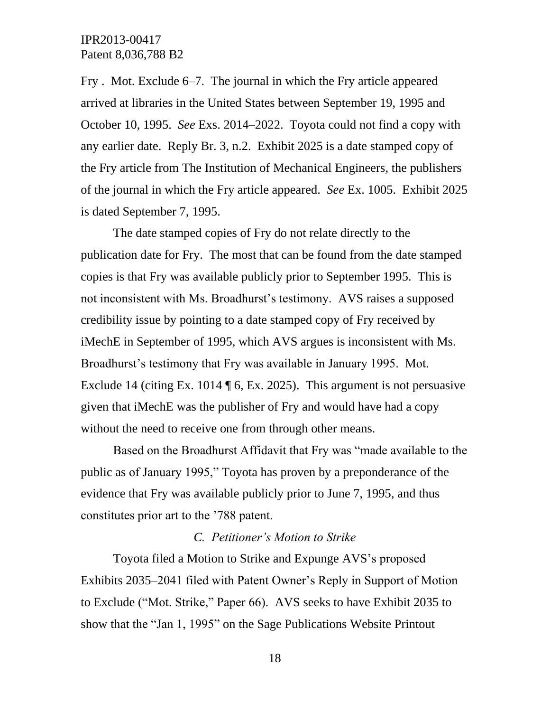Fry . Mot. Exclude 6–7. The journal in which the Fry article appeared arrived at libraries in the United States between September 19, 1995 and October 10, 1995. *See* Exs. 2014–2022. Toyota could not find a copy with any earlier date. Reply Br. 3, n.2. Exhibit 2025 is a date stamped copy of the Fry article from The Institution of Mechanical Engineers, the publishers of the journal in which the Fry article appeared. *See* Ex. 1005. Exhibit 2025 is dated September 7, 1995.

The date stamped copies of Fry do not relate directly to the publication date for Fry. The most that can be found from the date stamped copies is that Fry was available publicly prior to September 1995. This is not inconsistent with Ms. Broadhurst's testimony. AVS raises a supposed credibility issue by pointing to a date stamped copy of Fry received by iMechE in September of 1995, which AVS argues is inconsistent with Ms. Broadhurst's testimony that Fry was available in January 1995. Mot. Exclude 14 (citing Ex. 1014 ¶ 6, Ex. 2025). This argument is not persuasive given that iMechE was the publisher of Fry and would have had a copy without the need to receive one from through other means.

Based on the Broadhurst Affidavit that Fry was "made available to the public as of January 1995," Toyota has proven by a preponderance of the evidence that Fry was available publicly prior to June 7, 1995, and thus constitutes prior art to the '788 patent.

#### *C. Petitioner's Motion to Strike*

Toyota filed a Motion to Strike and Expunge AVS's proposed Exhibits 2035–2041 filed with Patent Owner's Reply in Support of Motion to Exclude ("Mot. Strike," Paper 66). AVS seeks to have Exhibit 2035 to show that the "Jan 1, 1995" on the Sage Publications Website Printout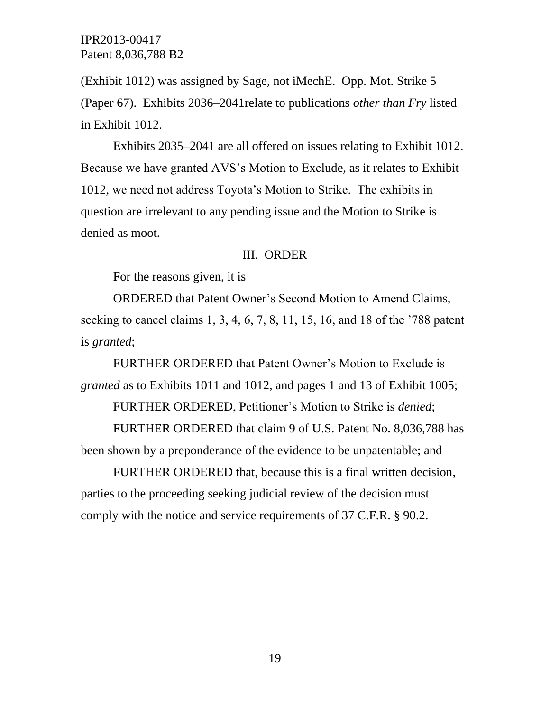(Exhibit 1012) was assigned by Sage, not iMechE. Opp. Mot. Strike 5 (Paper 67). Exhibits 2036–2041relate to publications *other than Fry* listed in Exhibit 1012.

Exhibits 2035–2041 are all offered on issues relating to Exhibit 1012. Because we have granted AVS's Motion to Exclude, as it relates to Exhibit 1012, we need not address Toyota's Motion to Strike. The exhibits in question are irrelevant to any pending issue and the Motion to Strike is denied as moot.

#### III. ORDER

For the reasons given, it is

ORDERED that Patent Owner's Second Motion to Amend Claims, seeking to cancel claims 1, 3, 4, 6, 7, 8, 11, 15, 16, and 18 of the '788 patent is *granted*;

FURTHER ORDERED that Patent Owner's Motion to Exclude is *granted* as to Exhibits 1011 and 1012, and pages 1 and 13 of Exhibit 1005;

FURTHER ORDERED, Petitioner's Motion to Strike is *denied*;

FURTHER ORDERED that claim 9 of U.S. Patent No. 8,036,788 has been shown by a preponderance of the evidence to be unpatentable; and

FURTHER ORDERED that, because this is a final written decision, parties to the proceeding seeking judicial review of the decision must comply with the notice and service requirements of 37 C.F.R. § 90.2.